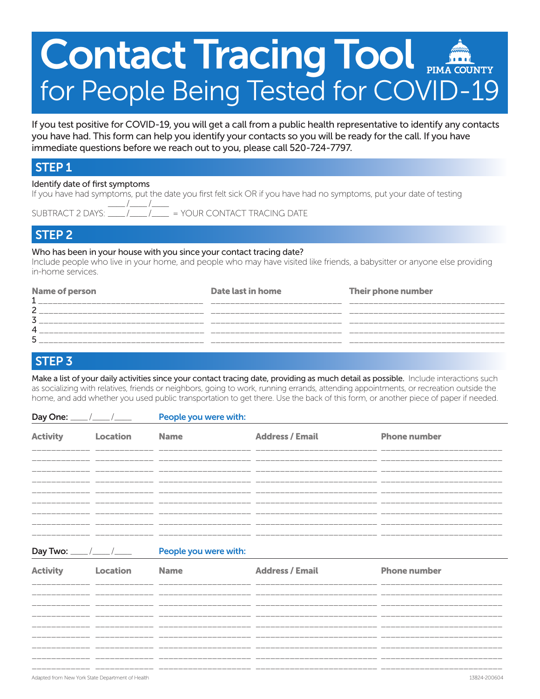# Contact Tracing Tool for People Being Tested for COVID-19

If you test positive for COVID-19, you will get a call from a public health representative to identify any contacts you have had. This form can help you identify your contacts so you will be ready for the call. If you have immediate questions before we reach out to you, please call 520-724-7797.

#### STEP 1

#### Identify date of first symptoms

If you have had symptoms, put the date you first felt sick OR if you have had no symptoms, put your date of testing  $\_$  / $\_$  / $\_$ 

 $=$  YOUR CONTACT TRACING DATE

#### STEP 2

#### Who has been in your house with you since your contact tracing date?

Include people who live in your home, and people who may have visited like friends, a babysitter or anyone else providing in-home services.

| <b>Name of person</b> | Date last in home | Their phone number |
|-----------------------|-------------------|--------------------|
| ົ                     |                   |                    |
|                       |                   |                    |
| 4                     |                   |                    |
| ς                     |                   |                    |

#### STEP 3

Make a list of your daily activities since your contact tracing date, providing as much detail as possible. Include interactions such as socializing with relatives, friends or neighbors, going to work, running errands, attending appointments, or recreation outside the home, and add whether you used public transportation to get there. Use the back of this form, or another piece of paper if needed.

| Day One: _      |                                        | People you were with: |                        |                     |  |
|-----------------|----------------------------------------|-----------------------|------------------------|---------------------|--|
| <b>Activity</b> | Location                               | <b>Name</b>           | <b>Address / Email</b> | <b>Phone number</b> |  |
|                 |                                        |                       |                        |                     |  |
|                 |                                        |                       |                        |                     |  |
|                 |                                        |                       |                        |                     |  |
|                 |                                        |                       |                        |                     |  |
|                 | Day Two: $\frac{1}{2}$ / $\frac{1}{2}$ | People you were with: |                        |                     |  |
| <b>Activity</b> | Location                               | <b>Name</b>           | <b>Address / Email</b> | <b>Phone number</b> |  |
|                 |                                        |                       |                        |                     |  |
|                 |                                        |                       |                        |                     |  |
|                 |                                        |                       |                        |                     |  |
|                 |                                        | _____________________ |                        |                     |  |

\_\_\_\_\_\_\_\_\_\_\_\_ \_\_\_\_\_\_\_\_\_\_\_\_ \_\_\_\_\_\_\_\_\_\_\_\_\_\_\_\_\_\_\_ \_\_\_\_\_\_\_\_\_\_\_\_\_\_\_\_\_\_\_\_\_\_\_\_\_ \_\_\_\_\_\_\_\_\_\_\_\_\_\_\_\_\_\_\_\_\_\_\_\_\_

Adapted from New York State Department of Health 13824-200604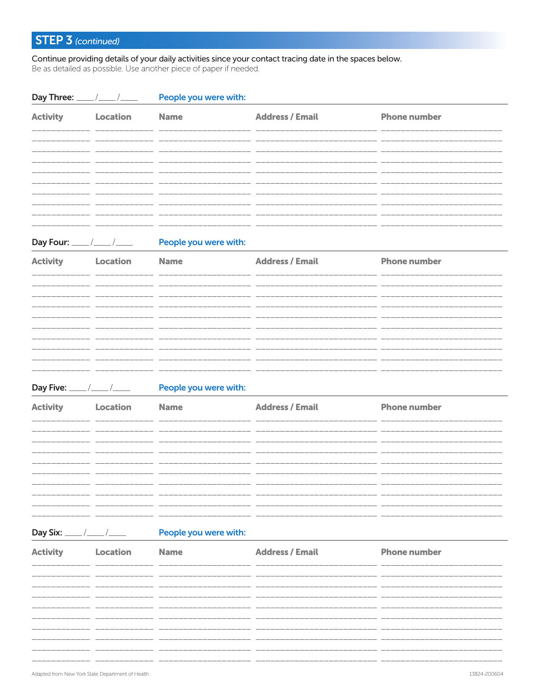## STEP 3 (continued)

Continue providing details of your daily activities since your contact tracing date in the spaces below. Be as detailed as possible. Use another piece of paper if needed.

| Day Three: ____                      |                                                  | People you were with:                |                                                                             |                     |              |
|--------------------------------------|--------------------------------------------------|--------------------------------------|-----------------------------------------------------------------------------|---------------------|--------------|
| <b>Activity</b>                      | Location                                         | <b>Name</b>                          | <b>Address / Email</b><br>______________________<br><u> 222222222222222</u> | <b>Phone number</b> |              |
| <b>Activity</b>                      | Day Four: $\frac{\frac{1}{2}}{2}$<br>Location    | People you were with:<br><b>Name</b> | ___________________<br>_____________________<br><b>Address / Email</b>      | <b>Phone number</b> |              |
|                                      |                                                  |                                      |                                                                             |                     |              |
| Day Five: $\_\_\_\_\_\_\_\_\_\_\_\_$ |                                                  | People you were with:                |                                                                             |                     |              |
| <b>Activity</b>                      | Location                                         | <b>Name</b>                          | <b>Address / Email</b>                                                      | <b>Phone number</b> |              |
| Day Six: ____/___/____               |                                                  | People you were with:                |                                                                             |                     |              |
| <b>Activity</b>                      | <b>Location</b>                                  | <b>Name</b>                          | <b>Address / Email</b>                                                      | <b>Phone number</b> |              |
|                                      | Adapted from New York State Department of Health |                                      |                                                                             |                     | 13824-200604 |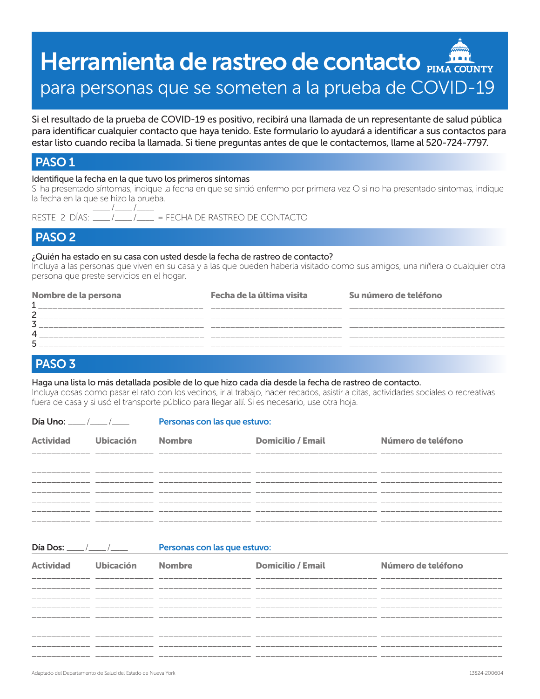# Herramienta de rastreo de contacto **PIMA COUNTY** para personas que se someten a la prueba de COVID-19

Si el resultado de la prueba de COVID-19 es positivo, recibirá una llamada de un representante de salud pública para identificar cualquier contacto que haya tenido. Este formulario lo ayudará a identificar a sus contactos para estar listo cuando reciba la llamada. Si tiene preguntas antes de que le contactemos, llame al 520-724-7797.

#### PASO 1

#### Identifique la fecha en la que tuvo los primeros síntomas

Si ha presentado síntomas, indique la fecha en que se sintió enfermo por primera vez O si no ha presentado síntomas, indique la fecha en la que se hizo la prueba.  $\_$  /

RESTE 2 DÍAS: \_\_\_\_ /\_\_\_\_ /\_\_\_\_ = FECHA DE RASTREO DE CONTACTO

#### PASO 2

#### ¿Quién ha estado en su casa con usted desde la fecha de rastreo de contacto?

Incluya a las personas que viven en su casa y a las que pueden haberla visitado como sus amigos, una niñera o cualquier otra persona que preste servicios en el hogar.

| Nombre de la persona | Fecha de la última visita | Su número de teléfono |
|----------------------|---------------------------|-----------------------|
| ົ                    |                           |                       |
|                      |                           |                       |
|                      |                           |                       |
|                      |                           |                       |
|                      |                           |                       |

#### PASO 3

#### Haga una lista lo más detallada posible de lo que hizo cada día desde la fecha de rastreo de contacto.

Incluya cosas como pasar el rato con los vecinos, ir al trabajo, hacer recados, asistir a citas, actividades sociales o recreativas fuera de casa y si usó el transporte público para llegar allí. Si es necesario, use otra hoja.

| Día Uno:                         |                  | Personas con las que estuvo: |                          |                    |  |
|----------------------------------|------------------|------------------------------|--------------------------|--------------------|--|
| <b>Actividad</b>                 | <b>Ubicación</b> | <b>Nombre</b>                | <b>Domicilio / Email</b> | Número de teléfono |  |
|                                  |                  |                              |                          |                    |  |
|                                  |                  |                              |                          |                    |  |
|                                  |                  |                              |                          |                    |  |
| Día Dos: $\frac{\frac{1}{2}}{2}$ |                  | Personas con las que estuvo: |                          |                    |  |
| <b>Actividad</b>                 | <b>Ubicación</b> | <b>Nombre</b>                | <b>Domicilio / Email</b> | Número de teléfono |  |

| $\sim$ . The state of the state of the state of the state of the state of the state of the state of the state of the state of the state of the state of the state of the state of the state of the state of the state of the st | ______________________________ |  |
|---------------------------------------------------------------------------------------------------------------------------------------------------------------------------------------------------------------------------------|--------------------------------|--|
|                                                                                                                                                                                                                                 |                                |  |
|                                                                                                                                                                                                                                 |                                |  |
|                                                                                                                                                                                                                                 |                                |  |
|                                                                                                                                                                                                                                 |                                |  |
|                                                                                                                                                                                                                                 |                                |  |
|                                                                                                                                                                                                                                 |                                |  |
|                                                                                                                                                                                                                                 |                                |  |
|                                                                                                                                                                                                                                 |                                |  |
|                                                                                                                                                                                                                                 |                                |  |